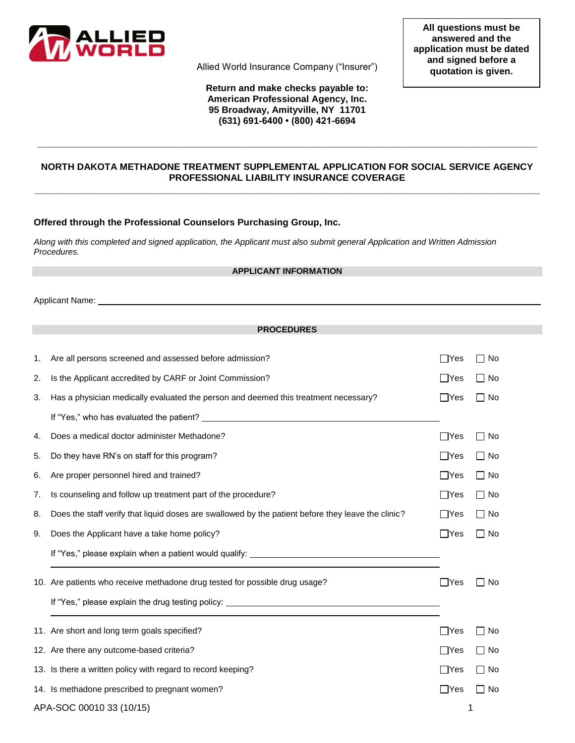

Allied World Insurance Company ("Insurer")

## **Return and make checks payable to: American Professional Agency, Inc. 95 Broadway, Amityville, NY 11701 (631) 691-6400 • (800) 421-6694**

# **NORTH DAKOTA METHADONE TREATMENT SUPPLEMENTAL APPLICATION FOR SOCIAL SERVICE AGENCY PROFESSIONAL LIABILITY INSURANCE COVERAGE \_\_\_\_\_\_\_\_\_\_\_\_\_\_\_\_\_\_\_\_\_\_\_\_\_\_\_\_\_\_\_\_\_\_\_\_\_\_\_\_\_\_\_\_\_\_\_\_\_\_\_\_\_\_\_\_\_\_\_\_\_\_\_\_\_\_\_\_\_\_\_\_\_\_\_\_\_\_\_\_\_\_\_\_\_\_\_\_**

**\_\_\_\_\_\_\_\_\_\_\_\_\_\_\_\_\_\_\_\_\_\_\_\_\_\_\_\_\_\_\_\_\_\_\_\_\_\_\_\_\_\_\_\_\_\_\_\_\_\_\_\_\_\_\_\_\_\_\_\_\_\_\_\_\_\_\_\_\_\_\_\_\_\_\_\_\_\_\_\_\_\_\_\_\_\_\_**

## **Offered through the Professional Counselors Purchasing Group, Inc.**

*Along with this completed and signed application, the Applicant must also submit general Application and Written Admission Procedures.*

#### **APPLICANT INFORMATION**

Applicant Name:

## **PROCEDURES**

| 1.                       | Are all persons screened and assessed before admission?                                            | $\Box$ Yes | $\Box$ No |
|--------------------------|----------------------------------------------------------------------------------------------------|------------|-----------|
| 2.                       | Is the Applicant accredited by CARF or Joint Commission?                                           | $\Box$ Yes | $\Box$ No |
| 3.                       | Has a physician medically evaluated the person and deemed this treatment necessary?                | ∣ ∣Yes     | $\Box$ No |
|                          |                                                                                                    |            |           |
| 4.                       | Does a medical doctor administer Methadone?                                                        | $\Box$ Yes | $\Box$ No |
| 5.                       | Do they have RN's on staff for this program?                                                       | $\Box$ Yes | $\Box$ No |
| 6.                       | Are proper personnel hired and trained?                                                            | ∐Yes       | $\Box$ No |
| 7.                       | Is counseling and follow up treatment part of the procedure?                                       | $\Box$ Yes | ∏ No      |
| 8.                       | Does the staff verify that liquid doses are swallowed by the patient before they leave the clinic? | $\Box$ Yes | ∏ No      |
| 9.                       | Does the Applicant have a take home policy?                                                        | $\Box$ Yes | $\Box$ No |
|                          | If "Yes," please explain when a patient would qualify: _________________________                   |            |           |
|                          | 10. Are patients who receive methadone drug tested for possible drug usage?                        | $\Box$ Yes | No        |
|                          | If "Yes," please explain the drug testing policy: ______________________________                   |            |           |
|                          | 11. Are short and long term goals specified?                                                       | $\Box$ Yes | $\Box$ No |
|                          | 12. Are there any outcome-based criteria?                                                          | $\Box$ Yes | □ No      |
|                          | 13. Is there a written policy with regard to record keeping?                                       | $\Box$ Yes | □ No      |
|                          | 14. Is methadone prescribed to pregnant women?                                                     | $\Box$ Yes | No        |
| APA-SOC 00010 33 (10/15) |                                                                                                    |            | 1         |